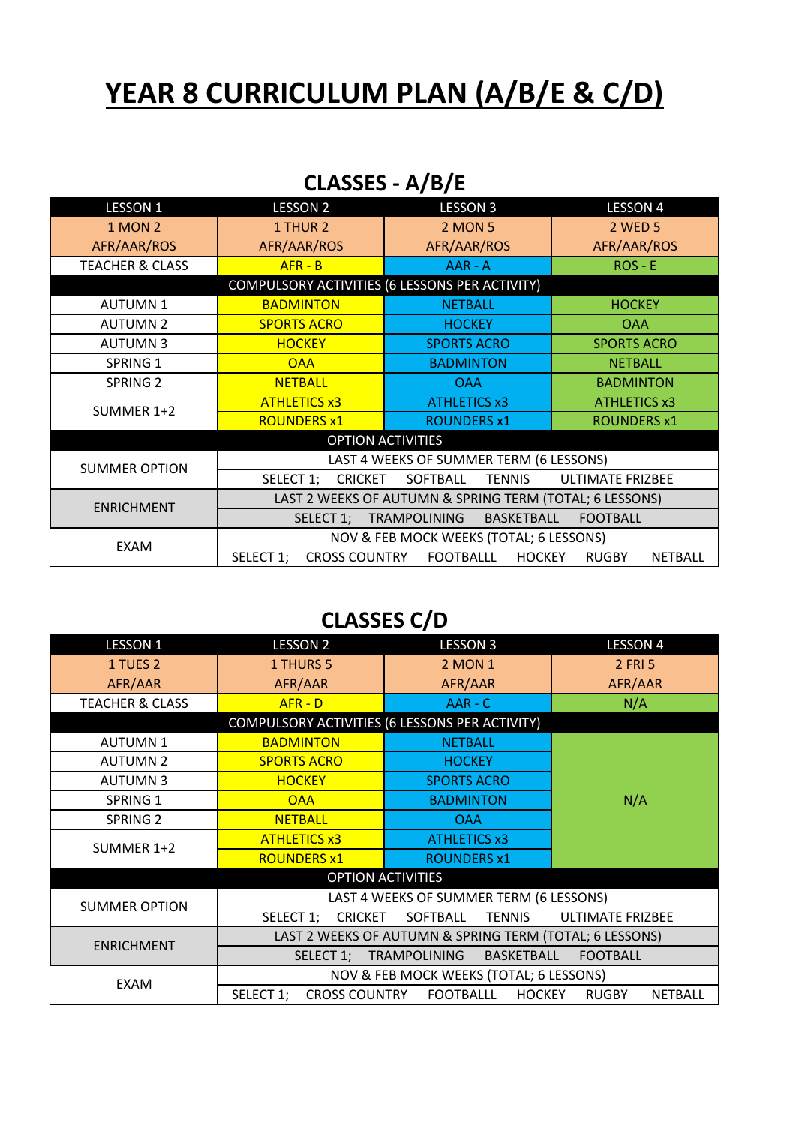## **YEAR 8 CURRICULUM PLAN (A/B/E & C/D)**

| CLASSES - A/B/E |  |
|-----------------|--|
|-----------------|--|

| <b>LESSON 1</b>                                | <b>LESSON 2</b>                                                   | <b>LESSON 3</b>                | <b>LESSON 4</b>                |  |  |
|------------------------------------------------|-------------------------------------------------------------------|--------------------------------|--------------------------------|--|--|
| <b>1 MON 2</b>                                 | 1 THUR 2                                                          | <b>2 MON 5</b>                 | <b>2 WED 5</b>                 |  |  |
| AFR/AAR/ROS                                    | AFR/AAR/ROS                                                       | AFR/AAR/ROS                    | AFR/AAR/ROS                    |  |  |
| <b>TEACHER &amp; CLASS</b>                     | $AFR - B$                                                         | AAR - A                        | $ROS - E$                      |  |  |
| COMPULSORY ACTIVITIES (6 LESSONS PER ACTIVITY) |                                                                   |                                |                                |  |  |
| <b>AUTUMN1</b>                                 | <b>BADMINTON</b>                                                  | <b>NETBALL</b>                 | <b>HOCKEY</b>                  |  |  |
| <b>AUTUMN 2</b>                                | <b>SPORTS ACRO</b>                                                | <b>HOCKEY</b>                  | <b>OAA</b>                     |  |  |
| <b>AUTUMN3</b>                                 | <b>HOCKEY</b>                                                     | <b>SPORTS ACRO</b>             | <b>SPORTS ACRO</b>             |  |  |
| SPRING 1                                       | <b>OAA</b>                                                        | <b>BADMINTON</b>               | <b>NETBALL</b>                 |  |  |
| <b>SPRING 2</b>                                | <b>NETBALL</b>                                                    | <b>OAA</b>                     | <b>BADMINTON</b>               |  |  |
| SUMMER 1+2                                     | <b>ATHLETICS x3</b>                                               | <b>ATHLETICS x3</b>            | <b>ATHLETICS x3</b>            |  |  |
|                                                | <b>ROUNDERS x1</b>                                                | <b>ROUNDERS x1</b>             | <b>ROUNDERS x1</b>             |  |  |
| <b>OPTION ACTIVITIES</b>                       |                                                                   |                                |                                |  |  |
| <b>SUMMER OPTION</b>                           | LAST 4 WEEKS OF SUMMER TERM (6 LESSONS)                           |                                |                                |  |  |
|                                                | <b>CRICKET</b><br>SELECT 1;                                       | SOFTBALL<br><b>TENNIS</b>      | <b>ULTIMATE FRIZBEE</b>        |  |  |
| <b>ENRICHMENT</b>                              | LAST 2 WEEKS OF AUTUMN & SPRING TERM (TOTAL; 6 LESSONS)           |                                |                                |  |  |
|                                                | <b>FOOTBALL</b><br>SELECT 1;<br>TRAMPOLINING<br><b>BASKETBALL</b> |                                |                                |  |  |
| <b>EXAM</b>                                    | NOV & FEB MOCK WEEKS (TOTAL; 6 LESSONS)                           |                                |                                |  |  |
|                                                | SELECT 1;                                                         | CROSS COUNTRY FOOTBALLL HOCKEY | <b>RUGBY</b><br><b>NETBALL</b> |  |  |

## **CLASSES C/D**

| <b>LESSON 1</b>                                | <b>LESSON 2</b>                                         | <b>LESSON 3</b>     | <b>LESSON 4</b>                |  |
|------------------------------------------------|---------------------------------------------------------|---------------------|--------------------------------|--|
| 1 TUES 2                                       | 1 THURS 5                                               | <b>2 MON 1</b>      | 2 FRI 5                        |  |
| AFR/AAR                                        | AFR/AAR                                                 | AFR/AAR             | AFR/AAR                        |  |
| <b>TEACHER &amp; CLASS</b>                     | $AFR - D$                                               | AAR - C             | N/A                            |  |
| COMPULSORY ACTIVITIES (6 LESSONS PER ACTIVITY) |                                                         |                     |                                |  |
| <b>AUTUMN1</b>                                 | <b>BADMINTON</b>                                        | <b>NETBALL</b>      |                                |  |
| <b>AUTUMN 2</b>                                | <b>SPORTS ACRO</b>                                      | <b>HOCKEY</b>       |                                |  |
| <b>AUTUMN3</b>                                 | <b>HOCKEY</b>                                           | <b>SPORTS ACRO</b>  |                                |  |
| SPRING 1                                       | <b>OAA</b>                                              | <b>BADMINTON</b>    | N/A                            |  |
| SPRING <sub>2</sub>                            | <b>NETBALL</b>                                          | <b>OAA</b>          |                                |  |
| SUMMER 1+2                                     | <b>ATHLETICS x3</b>                                     | <b>ATHLETICS x3</b> |                                |  |
|                                                | <b>ROUNDERS x1</b>                                      | <b>ROUNDERS x1</b>  |                                |  |
| <b>OPTION ACTIVITIES</b>                       |                                                         |                     |                                |  |
|                                                | LAST 4 WEEKS OF SUMMER TERM (6 LESSONS)                 |                     |                                |  |
| <b>SUMMER OPTION</b>                           | SELECT 1; CRICKET                                       | SOFTBALL TENNIS     | <b>ULTIMATE FRIZBEE</b>        |  |
| <b>ENRICHMENT</b>                              | LAST 2 WEEKS OF AUTUMN & SPRING TERM (TOTAL; 6 LESSONS) |                     |                                |  |
|                                                | BASKETBALL<br><b>FOOTBALL</b><br>SELECT 1; TRAMPOLINING |                     |                                |  |
| EXAM                                           | NOV & FEB MOCK WEEKS (TOTAL; 6 LESSONS)                 |                     |                                |  |
|                                                | SELECT 1;<br><b>CROSS COUNTRY</b>                       | FOOTBALLL<br>HOCKEY | <b>RUGBY</b><br><b>NETBALL</b> |  |